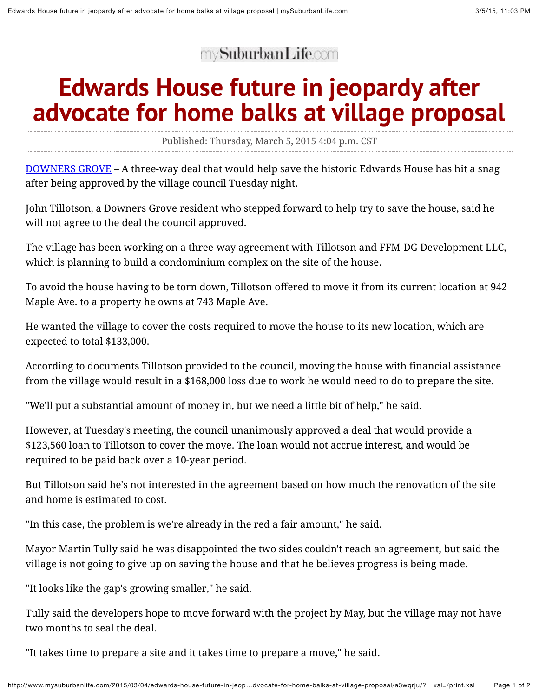my**SuburbanLife.com** 

## **Edwards House future in jeopardy after advocate for home balks at village proposal**

Published: Thursday, March 5, 2015 4:04 p.m. CST

[DOWNERS GROVE](http://mysuburbanlife.com/downersgrove) – A three-way deal that would help save the historic Edwards House has hit a snag after being approved by the village council Tuesday night.

John Tillotson, a Downers Grove resident who stepped forward to help try to save the house, said he will not agree to the deal the council approved.

The village has been working on a three-way agreement with Tillotson and FFM-DG Development LLC, which is planning to build a condominium complex on the site of the house.

To avoid the house having to be torn down, Tillotson offered to move it from its current location at 942 Maple Ave. to a property he owns at 743 Maple Ave.

He wanted the village to cover the costs required to move the house to its new location, which are expected to total \$133,000.

According to documents Tillotson provided to the council, moving the house with financial assistance from the village would result in a \$168,000 loss due to work he would need to do to prepare the site.

"We'll put a substantial amount of money in, but we need a little bit of help," he said.

However, at Tuesday's meeting, the council unanimously approved a deal that would provide a \$123,560 loan to Tillotson to cover the move. The loan would not accrue interest, and would be required to be paid back over a 10-year period.

But Tillotson said he's not interested in the agreement based on how much the renovation of the site and home is estimated to cost.

"In this case, the problem is we're already in the red a fair amount," he said.

Mayor Martin Tully said he was disappointed the two sides couldn't reach an agreement, but said the village is not going to give up on saving the house and that he believes progress is being made.

"It looks like the gap's growing smaller," he said.

Tully said the developers hope to move forward with the project by May, but the village may not have two months to seal the deal.

"It takes time to prepare a site and it takes time to prepare a move," he said.